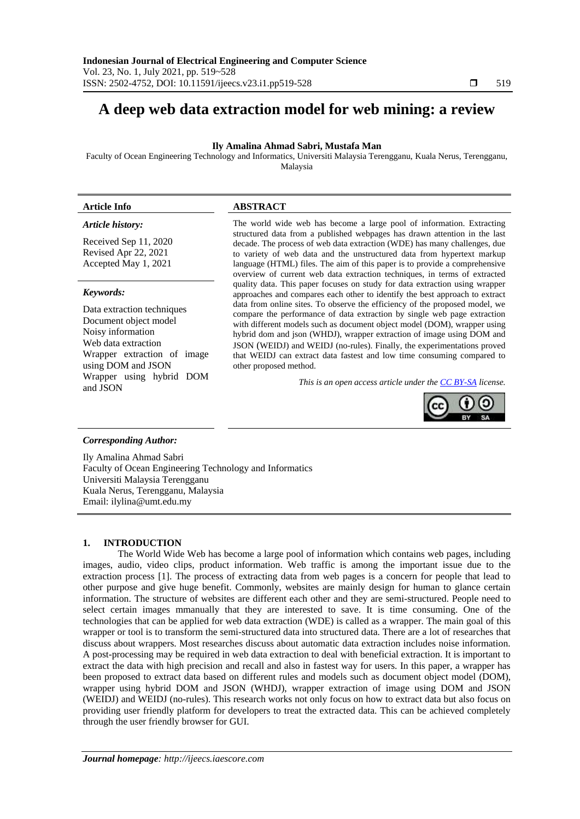# **A deep web data extraction model for web mining: a review**

#### **Ily Amalina Ahmad Sabri, Mustafa Man**

Faculty of Ocean Engineering Technology and Informatics, Universiti Malaysia Terengganu, Kuala Nerus, Terengganu, Malaysia

#### **Article Info ABSTRACT**

#### *Article history:*

Received Sep 11, 2020 Revised Apr 22, 2021 Accepted May 1, 2021

#### *Keywords:*

Data extraction techniques Document object model Noisy information Web data extraction Wrapper extraction of image using DOM and JSON Wrapper using hybrid DOM

The world wide web has become a large pool of information. Extracting structured data from a published webpages has drawn attention in the last decade. The process of web data extraction (WDE) has many challenges, due to variety of web data and the unstructured data from hypertext markup language (HTML) files. The aim of this paper is to provide a comprehensive overview of current web data extraction techniques, in terms of extracted quality data. This paper focuses on study for data extraction using wrapper approaches and compares each other to identify the best approach to extract data from online sites. To observe the efficiency of the proposed model, we compare the performance of data extraction by single web page extraction with different models such as document object model (DOM), wrapper using hybrid dom and json (WHDJ), wrapper extraction of image using DOM and JSON (WEIDJ) and WEIDJ (no-rules). Finally, the experimentations proved that WEIDJ can extract data fastest and low time consuming compared to other proposed method.

and JSON *This is an open access article under the [CC BY-SA](https://creativecommons.org/licenses/by-sa/4.0/) license.*



#### *Corresponding Author:*

Ily Amalina Ahmad Sabri Faculty of Ocean Engineering Technology and Informatics Universiti Malaysia Terengganu Kuala Nerus, Terengganu, Malaysia Email: ilylina@umt.edu.my

#### **1. INTRODUCTION**

The World Wide Web has become a large pool of information which contains web pages, including images, audio, video clips, product information. Web traffic is among the important issue due to the extraction process [1]. The process of extracting data from web pages is a concern for people that lead to other purpose and give huge benefit. Commonly, websites are mainly design for human to glance certain information. The structure of websites are different each other and they are semi-structured. People need to select certain images mmanually that they are interested to save. It is time consuming. One of the technologies that can be applied for web data extraction (WDE) is called as a wrapper. The main goal of this wrapper or tool is to transform the semi-structured data into structured data. There are a lot of researches that discuss about wrappers. Most researches discuss about automatic data extraction includes noise information. A post-processing may be required in web data extraction to deal with beneficial extraction. It is important to extract the data with high precision and recall and also in fastest way for users. In this paper, a wrapper has been proposed to extract data based on different rules and models such as document object model (DOM), wrapper using hybrid DOM and JSON (WHDJ), wrapper extraction of image using DOM and JSON (WEIDJ) and WEIDJ (no-rules). This research works not only focus on how to extract data but also focus on providing user friendly platform for developers to treat the extracted data. This can be achieved completely through the user friendly browser for GUI.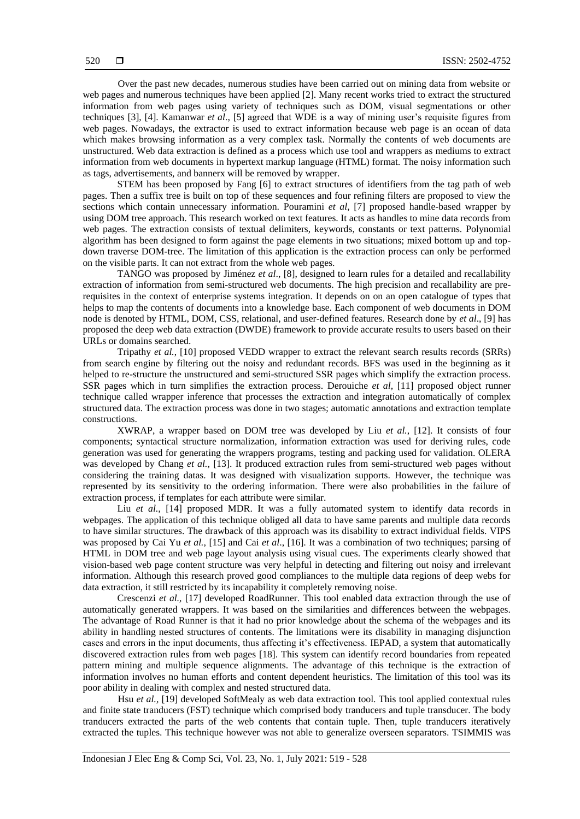Over the past new decades, numerous studies have been carried out on mining data from website or web pages and numerous techniques have been applied [2]. Many recent works tried to extract the structured information from web pages using variety of techniques such as DOM, visual segmentations or other techniques [3], [4]. Kamanwar *et al*., [5] agreed that WDE is a way of mining user's requisite figures from web pages. Nowadays, the extractor is used to extract information because web page is an ocean of data which makes browsing information as a very complex task. Normally the contents of web documents are unstructured. Web data extraction is defined as a process which use tool and wrappers as mediums to extract information from web documents in hypertext markup language (HTML) format. The noisy information such as tags, advertisements, and bannerx will be removed by wrapper.

STEM has been proposed by Fang [6] to extract structures of identifiers from the tag path of web pages. Then a suffix tree is built on top of these sequences and four refining filters are proposed to view the sections which contain unnecessary information. Pouramini *et al*, [7] proposed handle-based wrapper by using DOM tree approach. This research worked on text features. It acts as handles to mine data records from web pages. The extraction consists of textual delimiters, keywords, constants or text patterns. Polynomial algorithm has been designed to form against the page elements in two situations; mixed bottom up and topdown traverse DOM-tree. The limitation of this application is the extraction process can only be performed on the visible parts. It can not extract from the whole web pages.

TANGO was proposed by Jiménez *et al*., [8], designed to learn rules for a detailed and recallability extraction of information from semi-structured web documents. The high precision and recallability are prerequisites in the context of enterprise systems integration. It depends on on an open catalogue of types that helps to map the contents of documents into a knowledge base. Each component of web documents in DOM node is denoted by HTML, DOM, CSS, relational, and user-defined features. Research done by *et al*., [9] has proposed the deep web data extraction (DWDE) framework to provide accurate results to users based on their URLs or domains searched.

Tripathy *et al.*, [10] proposed VEDD wrapper to extract the relevant search results records (SRRs) from search engine by filtering out the noisy and redundant records. BFS was used in the beginning as it helped to re-structure the unstructured and semi-structured SSR pages which simplify the extraction process. SSR pages which in turn simplifies the extraction process. Derouiche *et al,* [11] proposed object runner technique called wrapper inference that processes the extraction and integration automatically of complex structured data. The extraction process was done in two stages; automatic annotations and extraction template constructions.

XWRAP, a wrapper based on DOM tree was developed by Liu *et al.*, [12]. It consists of four components; syntactical structure normalization, information extraction was used for deriving rules, code generation was used for generating the wrappers programs, testing and packing used for validation. OLERA was developed by Chang *et al.,* [13]. It produced extraction rules from semi-structured web pages without considering the training datas. It was designed with visualization supports. However, the technique was represented by its sensitivity to the ordering information. There were also probabilities in the failure of extraction process, if templates for each attribute were similar.

Liu *et al.*, [14] proposed MDR. It was a fully automated system to identify data records in webpages. The application of this technique obliged all data to have same parents and multiple data records to have similar structures. The drawback of this approach was its disability to extract individual fields. VIPS was proposed by Cai Yu *et al.,* [15] and Cai *et al*., [16]. It was a combination of two techniques; parsing of HTML in DOM tree and web page layout analysis using visual cues. The experiments clearly showed that vision-based web page content structure was very helpful in detecting and filtering out noisy and irrelevant information. Although this research proved good compliances to the multiple data regions of deep webs for data extraction, it still restricted by its incapability it completely removing noise.

Crescenzi *et al.,* [17] developed RoadRunner. This tool enabled data extraction through the use of automatically generated wrappers. It was based on the similarities and differences between the webpages. The advantage of Road Runner is that it had no prior knowledge about the schema of the webpages and its ability in handling nested structures of contents. The limitations were its disability in managing disjunction cases and errors in the input documents, thus affecting it's effectiveness. IEPAD, a system that automatically discovered extraction rules from web pages [18]. This system can identify record boundaries from repeated pattern mining and multiple sequence alignments. The advantage of this technique is the extraction of information involves no human efforts and content dependent heuristics. The limitation of this tool was its poor ability in dealing with complex and nested structured data.

Hsu *et al.,* [19] developed SoftMealy as web data extraction tool. This tool applied contextual rules and finite state tranducers (FST) technique which comprised body tranducers and tuple transducer. The body tranducers extracted the parts of the web contents that contain tuple. Then, tuple tranducers iteratively extracted the tuples. This technique however was not able to generalize overseen separators. TSIMMIS was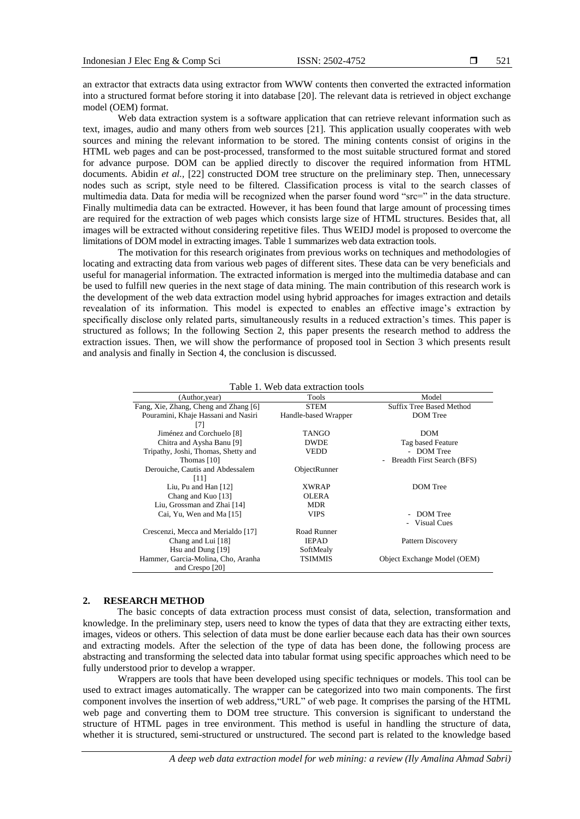an extractor that extracts data using extractor from WWW contents then converted the extracted information into a structured format before storing it into database [20]. The relevant data is retrieved in object exchange model (OEM) format.

Web data extraction system is a software application that can retrieve relevant information such as text, images, audio and many others from web sources [21]. This application usually cooperates with web sources and mining the relevant information to be stored. The mining contents consist of origins in the HTML web pages and can be post-processed, transformed to the most suitable structured format and stored for advance purpose. DOM can be applied directly to discover the required information from HTML documents. Abidin *et al.*, [22] constructed DOM tree structure on the preliminary step. Then, unnecessary nodes such as script, style need to be filtered. Classification process is vital to the search classes of multimedia data. Data for media will be recognized when the parser found word "src=" in the data structure. Finally multimedia data can be extracted. However, it has been found that large amount of processing times are required for the extraction of web pages which consists large size of HTML structures. Besides that, all images will be extracted without considering repetitive files. Thus WEIDJ model is proposed to overcome the limitations of DOM model in extracting images. Table 1 summarizes web data extraction tools.

The motivation for this research originates from previous works on techniques and methodologies of locating and extracting data from various web pages of different sites. These data can be very beneficials and useful for managerial information. The extracted information is merged into the multimedia database and can be used to fulfill new queries in the next stage of data mining. The main contribution of this research work is the development of the web data extraction model using hybrid approaches for images extraction and details revealation of its information. This model is expected to enables an effective image's extraction by specifically disclose only related parts, simultaneously results in a reduced extraction's times. This paper is structured as follows; In the following Section 2, this paper presents the research method to address the extraction issues. Then, we will show the performance of proposed tool in Section 3 which presents result and analysis and finally in Section 4, the conclusion is discussed.

| (Author, year)                        | Tools                | Model                           |
|---------------------------------------|----------------------|---------------------------------|
| Fang, Xie, Zhang, Cheng and Zhang [6] | <b>STEM</b>          | <b>Suffix Tree Based Method</b> |
| Pouramini, Khaje Hassani and Nasiri   | Handle-based Wrapper | <b>DOM</b> Tree                 |
| [7]                                   |                      |                                 |
| Jiménez and Corchuelo [8]             | <b>TANGO</b>         | <b>DOM</b>                      |
| Chitra and Aysha Banu [9]             | <b>DWDE</b>          | Tag based Feature               |
| Tripathy, Joshi, Thomas, Shetty and   | <b>VEDD</b>          | - DOM Tree                      |
| Thomas [10]                           |                      | Breadth First Search (BFS)      |
| Derouiche, Cautis and Abdessalem      | ObjectRunner         |                                 |
| [11]                                  |                      |                                 |
| Liu, Pu and Han $[12]$                | <b>XWRAP</b>         | <b>DOM</b> Tree                 |
| Chang and Kuo [13]                    | <b>OLERA</b>         |                                 |
| Liu, Grossman and Zhai [14]           | <b>MDR</b>           |                                 |
| Cai, Yu, Wen and Ma [15]              | <b>VIPS</b>          | <b>DOM</b> Tree                 |
|                                       |                      | - Visual Cues                   |
| Crescenzi, Mecca and Merialdo [17]    | Road Runner          |                                 |
| Chang and Lui [18]                    | <b>IEPAD</b>         | Pattern Discovery               |
| Hsu and Dung [19]                     | SoftMealy            |                                 |
| Hammer, Garcia-Molina, Cho, Aranha    | <b>TSIMMIS</b>       | Object Exchange Model (OEM)     |
| and Crespo [20]                       |                      |                                 |

Table 1. Web data extraction tools

#### **2. RESEARCH METHOD**

The basic concepts of data extraction process must consist of data, selection, transformation and knowledge. In the preliminary step, users need to know the types of data that they are extracting either texts, images, videos or others. This selection of data must be done earlier because each data has their own sources and extracting models. After the selection of the type of data has been done, the following process are abstracting and transforming the selected data into tabular format using specific approaches which need to be fully understood prior to develop a wrapper.

Wrappers are tools that have been developed using specific techniques or models. This tool can be used to extract images automatically. The wrapper can be categorized into two main components. The first component involves the insertion of web address,"URL" of web page. It comprises the parsing of the HTML web page and converting them to DOM tree structure. This conversion is significant to understand the structure of HTML pages in tree environment. This method is useful in handling the structure of data, whether it is structured, semi-structured or unstructured. The second part is related to the knowledge based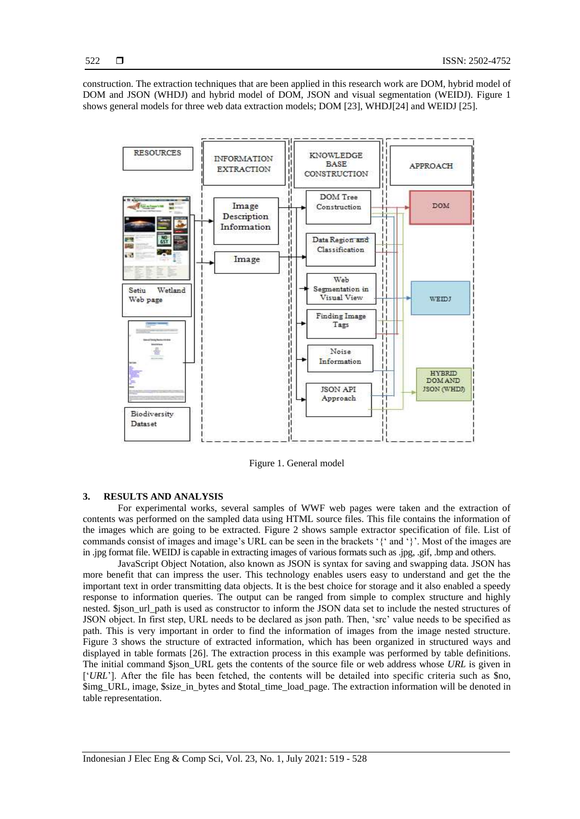construction. The extraction techniques that are been applied in this research work are DOM, hybrid model of DOM and JSON (WHDJ) and hybrid model of DOM, JSON and visual segmentation (WEIDJ). Figure 1 shows general models for three web data extraction models; DOM [23], WHDJ[24] and WEIDJ [25].



Figure 1. General model

#### **3. RESULTS AND ANALYSIS**

For experimental works, several samples of WWF web pages were taken and the extraction of contents was performed on the sampled data using HTML source files. This file contains the information of the images which are going to be extracted. Figure 2 shows sample extractor specification of file. List of commands consist of images and image's URL can be seen in the brackets '{' and '}'. Most of the images are in .jpg format file. WEIDJ is capable in extracting images of various formats such as .jpg, .gif, .bmp and others.

JavaScript Object Notation, also known as JSON is syntax for saving and swapping data. JSON has more benefit that can impress the user. This technology enables users easy to understand and get the the important text in order transmitting data objects. It is the best choice for storage and it also enabled a speedy response to information queries. The output can be ranged from simple to complex structure and highly nested. \$json\_url\_path is used as constructor to inform the JSON data set to include the nested structures of JSON object. In first step, URL needs to be declared as json path. Then, 'src' value needs to be specified as path. This is very important in order to find the information of images from the image nested structure. Figure 3 shows the structure of extracted information, which has been organized in structured ways and displayed in table formats [26]. The extraction process in this example was performed by table definitions. The initial command \$json\_URL gets the contents of the source file or web address whose *URL* is given in ['*URL*']. After the file has been fetched, the contents will be detailed into specific criteria such as \$no, \$img\_URL, image, \$size\_in\_bytes and \$total\_time\_load\_page. The extraction information will be denoted in table representation.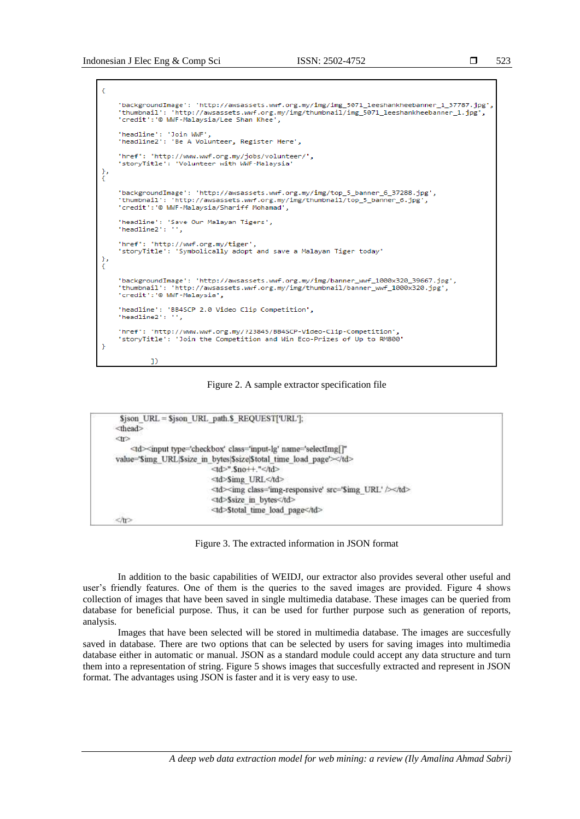ł

523







Figure 3. The extracted information in JSON format

In addition to the basic capabilities of WEIDJ, our extractor also provides several other useful and user's friendly features. One of them is the queries to the saved images are provided. Figure 4 shows collection of images that have been saved in single multimedia database. These images can be queried from database for beneficial purpose. Thus, it can be used for further purpose such as generation of reports, analysis.

Images that have been selected will be stored in multimedia database. The images are succesfully saved in database. There are two options that can be selected by users for saving images into multimedia database either in automatic or manual. JSON as a standard module could accept any data structure and turn them into a representation of string. Figure 5 shows images that succesfully extracted and represent in JSON format. The advantages using JSON is faster and it is very easy to use.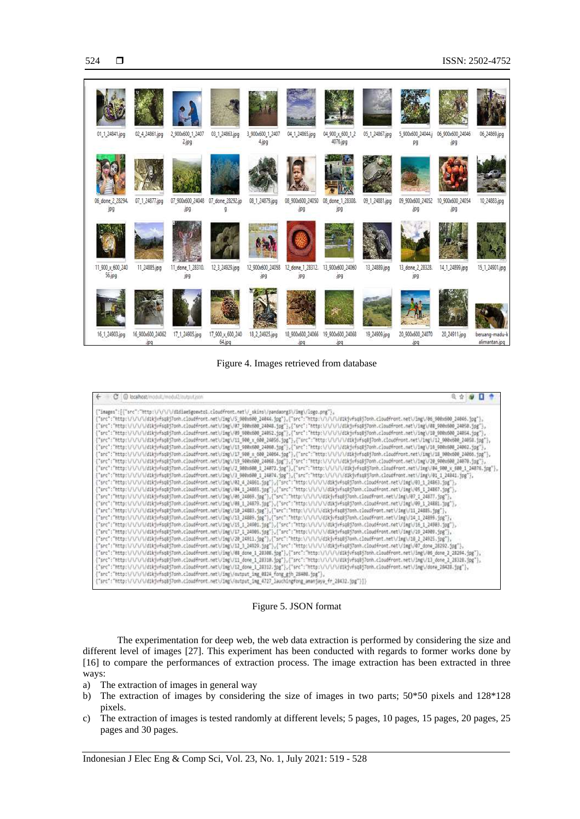

Figure 4. Images retrieved from database

| C : @ locahost/modulL/modul2/output.json                                                                                                                                                                                                                                                                                                                                                                                                                                                                                                                                                                                                                                                                                                                                                                                                                                                                                                                                                                                                                                                                                                                                                                                                                                                                                                                                                                                                                                                                                                                                                                                                                                                                                                                                                                                                                                                                                                                                                                                                                                                                                                                                                                                                                                                                                                                                                                                                                                                                                                                                                                                                                                                                                                                                                                                                                                                                                                                                                                                                                                                                                                                                                                                                                                                                                                                                                                                                                                                                                                                                                                                                                                                                                                                                                                                                                                                                       |  |
|----------------------------------------------------------------------------------------------------------------------------------------------------------------------------------------------------------------------------------------------------------------------------------------------------------------------------------------------------------------------------------------------------------------------------------------------------------------------------------------------------------------------------------------------------------------------------------------------------------------------------------------------------------------------------------------------------------------------------------------------------------------------------------------------------------------------------------------------------------------------------------------------------------------------------------------------------------------------------------------------------------------------------------------------------------------------------------------------------------------------------------------------------------------------------------------------------------------------------------------------------------------------------------------------------------------------------------------------------------------------------------------------------------------------------------------------------------------------------------------------------------------------------------------------------------------------------------------------------------------------------------------------------------------------------------------------------------------------------------------------------------------------------------------------------------------------------------------------------------------------------------------------------------------------------------------------------------------------------------------------------------------------------------------------------------------------------------------------------------------------------------------------------------------------------------------------------------------------------------------------------------------------------------------------------------------------------------------------------------------------------------------------------------------------------------------------------------------------------------------------------------------------------------------------------------------------------------------------------------------------------------------------------------------------------------------------------------------------------------------------------------------------------------------------------------------------------------------------------------------------------------------------------------------------------------------------------------------------------------------------------------------------------------------------------------------------------------------------------------------------------------------------------------------------------------------------------------------------------------------------------------------------------------------------------------------------------------------------------------------------------------------------------------------------------------------------------------------------------------------------------------------------------------------------------------------------------------------------------------------------------------------------------------------------------------------------------------------------------------------------------------------------------------------------------------------------------------------------------------------------------------------------------------------|--|
| "Images": [("src":"http:\/\/\/\/didiae5goowtol.cloudfront.net\/_skins\/pandaorg3\/img\/logo.png"},<br>["src":"http:\/\/\/\/dikjvfsq8j7onh.cloudfront.net\/img\/5_900x600_24044.jpg"},("src":"http:\/\/\/\/ulkjvfsq8j7onh.cloudfront.net\/img\/06_900x600_24046.jpg"),<br>"src":"http:\/\/\/\/dikfvfsqBj7onh.cloudfront.nat\/img\/07_900x680_24848.jpg"},{"src":"http:\/\/\/\/dikfvfsqBj7onh.cloudfront.nat\/img\/08_900x680_24850.jpg"},<br>"src":"http:\/\/\//dikjvfsq8j7onh.cloudfront.net\/img\/09 900x600_24052.jpg"},{"src":"http:\/\/\/\/dikjvfsq8j7onh.cloudfront.net\/img\/10 900x600_24054.jpg"},<br>"src":"bttp:\/\/\/\/dikjvFsq8j7ovb.cloudfront.net\/lmg\/11_900_x_600_24056.jpg"},{"src":"http:\/\/\/\/dikjvFsq8j7och.cloudfront.net\/lmg\/12_900v500_24058.jpg"},<br>["urc":"http:\/\/\/\/dikfyfsq8j7onh.cloudfront.nat\/img\/L3_988x680_24888.jsg"},{"src":"http:\/\/\/\/dikfyfsq8j7onh.cloudfront.nat\/img\/16_988x688_24862.jsg"},<br>["src":"http:\/\/\/\/idlkjvfsqBj7cnh.cloudfront.net\/img\/17 900 m 000 24004.jpg"},{"src":"http:\/\/\/\/dlkjvfsqBj7cnh.cloudfront.net\/img\/18 900xd00 24006.jpg"},<br>["src":"http:\/\/\/\/dikjvfsqBj7onh.cloudfront.net\/img\/19_900x600_24068.jpg"},{"src":"http:\/\/\/dikjvfsqBj7onh.cloudfront.net\/img\/20_900x600_24070.jpg"},<br>["src":"http:\/\/\/\/dikjvfsqBj7onh.cloudfront.nat\/img\/2_008x680_1_24072.jpg"},("src":"http:\/\/\/\/dikjvfsqBj7onh.cloudfront.nat\/img\/84_900_x_600_1_24076.jpg'<br>"src":"http:\/\/\/\/dikfxfsqBj7onh.cloudfront.net\/img\/3_900x600_1_24874.jpg"},{"src":"http:\/\/\/dikjvfsq8j7onh.cloudfront.net\/img\/01_1_24841.jpg"},<br>["src":"http:\/\/\/\/djkjvfsqBj7ovh.cloudfront.net\/img\/02_4_24B61.jpg"},{"src":"http:\/\/\/djkjvfsqBj7ovh.cloudfront.net\/img\/03_1_24B63.jpg"},<br>["src":"http:\/\/\/dikjvfsqBj7onh.cloudfront.net\/img\/04_1_24865.jpg"),("src":"http:\/\/\/dikjvfsqBj7onh.cloudfront.net\/img\/05_1_24B67.jpg"),<br>["src":"http:\/\/\/\/dikjvfsq8j7onh.cloudfront.net\/img\/06_24009.jpg"},{"src":"http:\/\/\/\/dikjvfsq8j7onh.cloudfront.net\/img\/07_1_24877.jpg"},<br>("src":"http:\/\/\/\/djkjvfsqBj7onb.cioudfront.net\/img\/08_1_24B79.jpg"},{"src":"http:\/\/\/\/djkjvfsqBj7onh.cloudfront.net\/img\/09_1_24B81.jpg"},<br>"src":"http:\/\/\/\/dlkfvfsqBj7onh.cloudfront.net\/img\/10_24883.jpg"},{"src":"http:\/\/\/\/dlkfvfsqBj7onh.cloudfront.net\/img\/11_24885.jpg"},<br>"arc":"http:\/\/\/\/dikfvfsqBf7onh.cloudfront.net\/img\/13_24889.jpg"},{"src":"http:\/\/\/dikfvfsqBf7onh.cloudfront.net\/img\/14_1_24899.jpg"},<br>["src":"http:\/\/\//\/dikjvFsq8j7onh.cloudfront.net\/img\/i5_i_20001.jpg"},("src":"http:\/\/\/\/dikjvFsq8j7onh.cloudfront.net\/img\/i6_i_20003.jpg"},<br>"src":"http:\/\/\/\/dikfvfsqBj7onh.cloudfront.net\/img\/iJ_1_24905.jpg"},{"src":"http:\/\/\/\/dikfvfsqBj7onh.cloudfront.net\/img\/20_24909.jpg"},<br>["src";"bttp:\/\/\/dlkfyfsqBj7ovh.cloudfront.net\/img\/20_24911.jpg"};{"src":"http:\/\/\/\/dlkfvfsqBj7onh.cloudfriont.net\/img\/18_2_24925.jpg"};<br>"src":"http:\/\/\/\/dikjvfsqBj7onh.cloudfront.net\/img\/12_3_24929.jpg"},{"src":"http:\/\/\/\/dikjvfsqBj7onh.cloudfront.net\/img\/07_done_20292.jpg"},<br>"src":"http:\/\/\/\dlkjvfsq&j7onh.cloudfront:net\/img\/08 done 1 28388.jpg"},("src":"http:\/\/\/\/dlkjvfsq&j7onh.cloudfront.net\/img\/06 done 2 28294.jpg"},<br>{"src";"http:\/\/\///dikjvfsqBj7onh.cloudfront.net\/img\/11_done_1_28310.jpg"},{"src":"http:\/\/\/\/dikjvfsqBj7onh.cloudfront.net\/img\/13_done_1_28328.jpg"},<br>{"src":"http:\/\/\/\/dikjvfsqBj7onh.cloudfront.net\/img\/12_done_1_28312.jpg"},{"src":"http:\/\/\/\/dikjvfsqBj7onh.cloudfront.net\/img\/done_28428.jpg"},<br>["src":"http:\/\/\/\/dikjvfsqBj7snh.cloudfront.net\/img\/output_img_0824_fong_gjh_28408.jpg"},<br>{"src":"http:\/\/\/\/dikjvfsq8j7onh.cioudfront.net\/img\/oxtpst_img_4727_lauchingfong_amanjaya_fr_28432.jpg"}]} |  |

Figure 5. JSON format

The experimentation for deep web, the web data extraction is performed by considering the size and different level of images [27]. This experiment has been conducted with regards to former works done by [16] to compare the performances of extraction process. The image extraction has been extracted in three ways:

- a) The extraction of images in general way
- b) The extraction of images by considering the size of images in two parts; 50\*50 pixels and 128\*128 pixels.
- c) The extraction of images is tested randomly at different levels; 5 pages, 10 pages, 15 pages, 20 pages, 25 pages and 30 pages.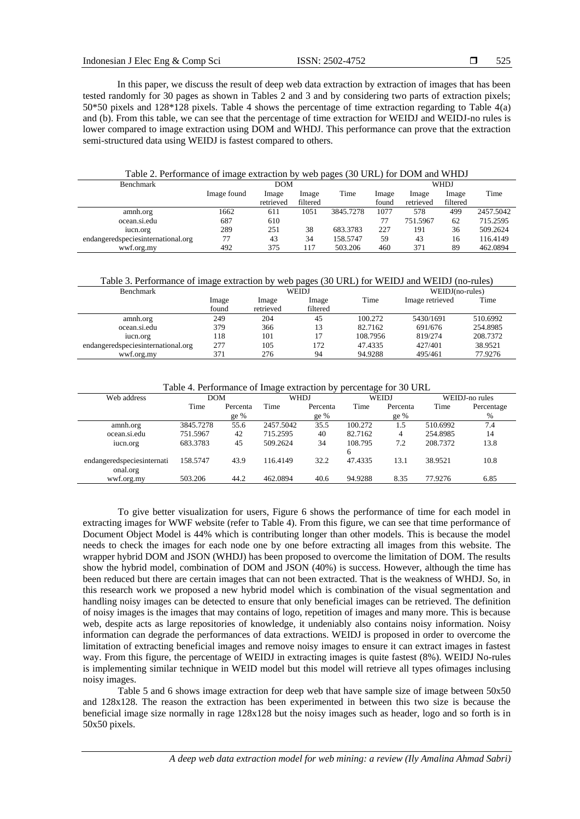In this paper, we discuss the result of deep web data extraction by extraction of images that has been tested randomly for 30 pages as shown in Tables 2 and 3 and by considering two parts of extraction pixels; 50\*50 pixels and 128\*128 pixels. Table 4 shows the percentage of time extraction regarding to Table 4(a) and (b). From this table, we can see that the percentage of time extraction for WEIDJ and WEIDJ-no rules is lower compared to image extraction using DOM and WHDJ. This performance can prove that the extraction semi-structured data using WEIDJ is fastest compared to others.

#### Table 2. Performance of image extraction by web pages (30 URL) for DOM and WHDJ

| <b>Benchmark</b>                    | <b>DOM</b>  |           |          |           | WHDJ  |           |          |           |
|-------------------------------------|-------------|-----------|----------|-----------|-------|-----------|----------|-----------|
|                                     | Image found | Image     | Image    | Time      | Image | Image     | Image    | Time      |
|                                     |             | retrieved | filtered |           | found | retrieved | filtered |           |
| amnh.org                            | 1662        | 611       | 1051     | 3845.7278 | 1077  | 578       | 499      | 2457.5042 |
| ocean.si.edu                        | 687         | 610       |          |           | 77    | 751.5967  | 62       | 715.2595  |
| iucn.org                            | 289         | 251       | 38       | 683.3783  | 227   | 191       | 36       | 509.2624  |
| endangeredspecies international.org | 77          | 43        | 34       | 158.5747  | 59    | 43        | 16       | 116.4149  |
| wwf.org.my                          | 492         | 375       | 117      | 503.206   | 460   | 371       | 89       | 462.0894  |

Table 3. Performance of image extraction by web pages (30 URL) for WEIDJ and WEIDJ (no-rules)

| <b>Benchmark</b>                   |       |           | <b>WEIDJ</b> | $WEIDJ(no-rules)$ |                 |          |
|------------------------------------|-------|-----------|--------------|-------------------|-----------------|----------|
|                                    | Image | Image     | Image        | Time              | Image retrieved | Time     |
|                                    | found | retrieved | filtered     |                   |                 |          |
| amnh.org                           | 249   | 204       | 45           | 100.272           | 5430/1691       | 510.6992 |
| ocean.si.edu                       | 379   | 366       | 13           | 82.7162           | 691/676         | 254.8985 |
| iucn.org                           | 118   | 101       | 17           | 108.7956          | 819/274         | 208.7372 |
| endangeredspeciesinternational.org | 277   | 105       | 172          | 47.4335           | 427/401         | 38.9521  |
| wwf.org.my                         | 371   | 276       | 94           | 94.9288           | 495/461         | 77.9276  |

Table 4. Performance of Image extraction by percentage for 30 URL

|           |          | WHDJ      |          | <b>WEIDJ</b> |          | WEIDJ-no rules |            |
|-----------|----------|-----------|----------|--------------|----------|----------------|------------|
| Time      | Percenta | Time      | Percenta | Time         | Percenta | Time           | Percentage |
|           | $ge\%$   |           | ge %     |              | ge %     |                | %          |
| 3845.7278 | 55.6     | 2457.5042 | 35.5     | 100.272      | 1.5      | 510.6992       | 7.4        |
| 751.5967  | 42       | 715.2595  | 40       | 82.7162      | 4        | 254.8985       | 14         |
| 683.3783  | 45       | 509.2624  | 34       | 108.795      | 7.2      | 208.7372       | 13.8       |
|           |          |           |          | 6            |          |                |            |
| 158.5747  | 43.9     | 116.4149  | 32.2     | 47.4335      | 13.1     | 38.9521        | 10.8       |
|           |          |           |          |              |          |                |            |
| 503.206   | 44.2     | 462.0894  | 40.6     | 94.9288      | 8.35     | 77.9276        | 6.85       |
|           |          | DOM       |          |              |          |                |            |

To give better visualization for users, Figure 6 shows the performance of time for each model in extracting images for WWF website (refer to Table 4). From this figure, we can see that time performance of Document Object Model is 44% which is contributing longer than other models. This is because the model needs to check the images for each node one by one before extracting all images from this website. The wrapper hybrid DOM and JSON (WHDJ) has been proposed to overcome the limitation of DOM. The results show the hybrid model, combination of DOM and JSON (40%) is success. However, although the time has been reduced but there are certain images that can not been extracted. That is the weakness of WHDJ. So, in this research work we proposed a new hybrid model which is combination of the visual segmentation and handling noisy images can be detected to ensure that only beneficial images can be retrieved. The definition of noisy images is the images that may contains of logo, repetition of images and many more. This is because web, despite acts as large repositories of knowledge, it undeniably also contains noisy information. Noisy information can degrade the performances of data extractions. WEIDJ is proposed in order to overcome the limitation of extracting beneficial images and remove noisy images to ensure it can extract images in fastest way. From this figure, the percentage of WEIDJ in extracting images is quite fastest (8%). WEIDJ No-rules is implementing similar technique in WEID model but this model will retrieve all types ofimages inclusing noisy images.

Table 5 and 6 shows image extraction for deep web that have sample size of image between 50x50 and 128x128. The reason the extraction has been experimented in between this two size is because the beneficial image size normally in rage 128x128 but the noisy images such as header, logo and so forth is in 50x50 pixels.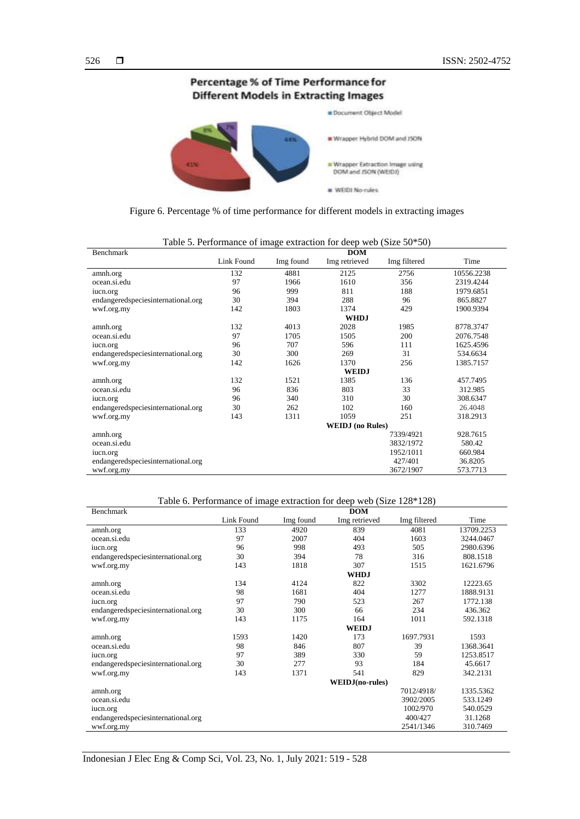## Percentage % of Time Performance for **Different Models in Extracting Images**





| Benchmark                          |            |           | <b>DOM</b>              |              |            |
|------------------------------------|------------|-----------|-------------------------|--------------|------------|
|                                    | Link Found | Img found | Img retrieved           | Img filtered | Time       |
| amnh.org                           | 132        | 4881      | 2125                    | 2756         | 10556.2238 |
| ocean.si.edu                       | 97         | 1966      | 1610                    | 356          | 2319.4244  |
| jucn.org                           | 96         | 999       | 811                     | 188          | 1979.6851  |
| endangeredspeciesinternational.org | 30         | 394       | 288                     | 96           | 865.8827   |
| wwf.org.my                         | 142        | 1803      | 1374                    | 429          | 1900.9394  |
|                                    |            |           | <b>WHDJ</b>             |              |            |
| amnh.org                           | 132        | 4013      | 2028                    | 1985         | 8778.3747  |
| ocean.si.edu                       | 97         | 1705      | 1505                    | 200          | 2076.7548  |
| jucn.org                           | 96         | 707       | 596                     | 111          | 1625.4596  |
| endangeredspeciesinternational.org | 30         | 300       | 269                     | 31           | 534.6634   |
| wwf.org.my                         | 142        | 1626      | 1370                    | 256          | 1385.7157  |
|                                    |            |           | <b>WEIDJ</b>            |              |            |
| amnh.org                           | 132        | 1521      | 1385                    | 136          | 457.7495   |
| ocean.si.edu                       | 96         | 836       | 803                     | 33           | 312.985    |
| iucn.org                           | 96         | 340       | 310                     | 30           | 308.6347   |
| endangeredspeciesinternational.org | 30         | 262       | 102                     | 160          | 26.4048    |
| wwf.org.my                         | 143        | 1311      | 1059                    | 251          | 318.2913   |
|                                    |            |           | <b>WEIDJ</b> (no Rules) |              |            |
| amnh.org                           |            |           |                         | 7339/4921    | 928.7615   |
| ocean.si.edu                       |            |           |                         | 3832/1972    | 580.42     |
| jucn.org                           |            |           |                         | 1952/1011    | 660.984    |
| endangeredspeciesinternational.org |            |           |                         | 427/401      | 36.8205    |
| wwf.org.my                         |            |           |                         | 3672/1907    | 573.7713   |

Table 5. Performance of image extraction for deep web (Size 50\*50)

### Table 6. Performance of image extraction for deep web (Size 128\*128)

| Benchmark                          |            |           | <b>DOM</b>              |              |            |
|------------------------------------|------------|-----------|-------------------------|--------------|------------|
|                                    | Link Found | Img found | Img retrieved           | Img filtered | Time       |
| amnh.org                           | 133        | 4920      | 839                     | 4081         | 13709.2253 |
| ocean.si.edu                       | 97         | 2007      | 404                     | 1603         | 3244.0467  |
| jucn.org                           | 96         | 998       | 493                     | 505          | 2980.6396  |
| endangeredspeciesinternational.org | 30         | 394       | 78                      | 316          | 808.1518   |
| wwf.org.my                         | 143        | 1818      | 307                     | 1515         | 1621.6796  |
|                                    |            |           | <b>WHDJ</b>             |              |            |
| amnh.org                           | 134        | 4124      | 822                     | 3302         | 12223.65   |
| ocean.si.edu                       | 98         | 1681      | 404                     | 1277         | 1888.9131  |
| jucn.org                           | 97         | 790       | 523                     | 267          | 1772.138   |
| endangeredspeciesinternational.org | 30         | 300       | 66                      | 234          | 436.362    |
| wwf.org.my                         | 143        | 1175      | 164                     | 1011         | 592.1318   |
|                                    |            |           | <b>WEIDJ</b>            |              |            |
| amnh.org                           | 1593       | 1420      | 173                     | 1697.7931    | 1593       |
| ocean.si.edu                       | 98         | 846       | 807                     | 39           | 1368.3641  |
| jucn.org                           | 97         | 389       | 330                     | 59           | 1253.8517  |
| endangeredspeciesinternational.org | 30         | 277       | 93                      | 184          | 45.6617    |
| wwf.org.my                         | 143        | 1371      | 541                     | 829          | 342.2131   |
|                                    |            |           | <b>WEIDJ</b> (no-rules) |              |            |
| amnh.org                           |            |           |                         | 7012/4918/   | 1335.5362  |
| ocean.si.edu                       |            |           |                         | 3902/2005    | 533.1249   |
| jucn.org                           |            |           |                         | 1002/970     | 540.0529   |
| endangeredspeciesinternational.org |            |           |                         | 400/427      | 31.1268    |
| wwf.org.my                         |            |           |                         | 2541/1346    | 310.7469   |

Indonesian J Elec Eng & Comp Sci, Vol. 23, No. 1, July 2021: 519 - 528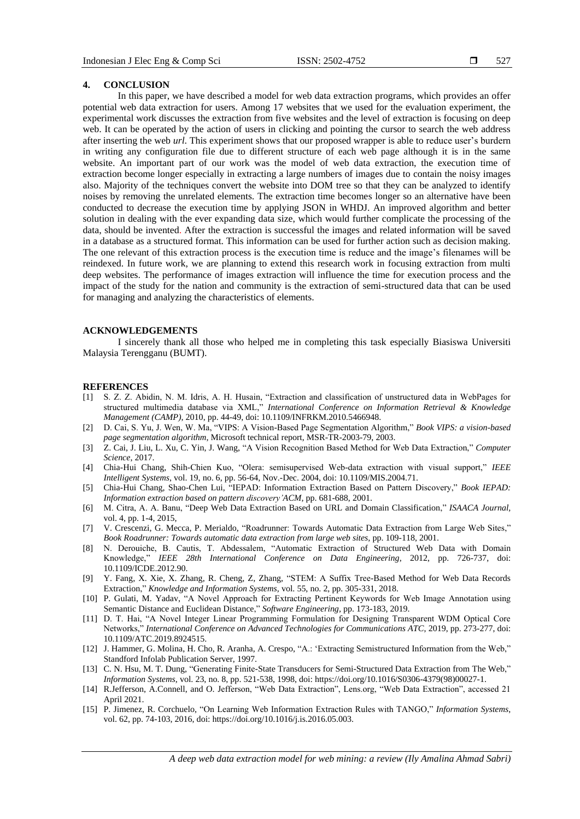#### **4. CONCLUSION**

In this paper, we have described a model for web data extraction programs, which provides an offer potential web data extraction for users. Among 17 websites that we used for the evaluation experiment, the experimental work discusses the extraction from five websites and the level of extraction is focusing on deep web. It can be operated by the action of users in clicking and pointing the cursor to search the web address after inserting the web *url*. This experiment shows that our proposed wrapper is able to reduce user's burdern in writing any configuration file due to different structure of each web page although it is in the same website. An important part of our work was the model of web data extraction, the execution time of extraction become longer especially in extracting a large numbers of images due to contain the noisy images also. Majority of the techniques convert the website into DOM tree so that they can be analyzed to identify noises by removing the unrelated elements. The extraction time becomes longer so an alternative have been conducted to decrease the execution time by applying JSON in WHDJ. An improved algorithm and better solution in dealing with the ever expanding data size, which would further complicate the processing of the data, should be invented. After the extraction is successful the images and related information will be saved in a database as a structured format. This information can be used for further action such as decision making. The one relevant of this extraction process is the execution time is reduce and the image's filenames will be reindexed. In future work, we are planning to extend this research work in focusing extraction from multi deep websites. The performance of images extraction will influence the time for execution process and the impact of the study for the nation and community is the extraction of semi-structured data that can be used for managing and analyzing the characteristics of elements.

#### **ACKNOWLEDGEMENTS**

I sincerely thank all those who helped me in completing this task especially Biasiswa Universiti Malaysia Terengganu (BUMT).

#### **REFERENCES**

- [1] S. Z. Z. Abidin, N. M. Idris, A. H. Husain, "Extraction and classification of unstructured data in WebPages for structured multimedia database via XML," *International Conference on Information Retrieval & Knowledge Management (CAMP)*, 2010, pp. 44-49, doi: 10.1109/INFRKM.2010.5466948.
- [2] D. Cai, S. Yu, J. Wen, W. Ma, "VIPS: A Vision-Based Page Segmentation Algorithm," *Book VIPS: a vision-based page segmentation algorithm*, Microsoft technical report, MSR-TR-2003-79, 2003.
- [3] Z. Cai, J. Liu, L. Xu, C. Yin, J. Wang, "A Vision Recognition Based Method for Web Data Extraction," *Computer Science*, 2017.
- [4] Chia-Hui Chang, Shih-Chien Kuo, "Olera: semisupervised Web-data extraction with visual support," *IEEE Intelligent Systems*, vol. 19, no. 6, pp. 56-64, Nov.-Dec. 2004, doi: 10.1109/MIS.2004.71.
- [5] Chia-Hui Chang, Shao-Chen Lui, "IEPAD: Information Extraction Based on Pattern Discovery," *Book IEPAD: Information extraction based on pattern discovery'ACM,* pp. 681-688, 2001.
- [6] M. Citra, A. A. Banu, "Deep Web Data Extraction Based on URL and Domain Classification," *ISAACA Journal,* vol. 4, pp. 1-4, 2015,
- [7] V. Crescenzi, G. Mecca, P. Merialdo, "Roadrunner: Towards Automatic Data Extraction from Large Web Sites," *Book Roadrunner: Towards automatic data extraction from large web sites,* pp. 109-118, 2001.
- [8] N. Derouiche, B. Cautis, T. Abdessalem, "Automatic Extraction of Structured Web Data with Domain Knowledge," *IEEE 28th International Conference on Data Engineering*, 2012, pp. 726-737, doi: 10.1109/ICDE.2012.90.
- [9] Y. Fang, X. Xie, X. Zhang, R. Cheng, Z, Zhang, "STEM: A Suffix Tree-Based Method for Web Data Records Extraction," *Knowledge and Information Systems,* vol. 55, no. 2, pp. 305-331, 2018.
- [10] P. Gulati, M. Yadav, "A Novel Approach for Extracting Pertinent Keywords for Web Image Annotation using Semantic Distance and Euclidean Distance," *Software Engineering,* pp. 173-183, 2019.
- [11] D. T. Hai, "A Novel Integer Linear Programming Formulation for Designing Transparent WDM Optical Core Networks," *International Conference on Advanced Technologies for Communications ATC*, 2019, pp. 273-277, doi: 10.1109/ATC.2019.8924515.
- [12] J. Hammer, G. Molina, H. Cho, R. Aranha, A. Crespo, "A.: 'Extracting Semistructured Information from the Web," Standford Infolab Publication Server, 1997.
- [13] C. N. Hsu, M. T. Dung, "Generating Finite-State Transducers for Semi-Structured Data Extraction from The Web," *Information Systems*, vol. 23, no. 8, pp. 521-538, 1998, doi: https://doi.org/10.1016/S0306-4379(98)00027-1.
- [14] R.Jefferson, A.Connell, and O. Jefferson, "Web Data Extraction", Lens.org, "Web Data Extraction", accessed 21 April 2021.
- [15] P. Jimenez, R. Corchuelo, "On Learning Web Information Extraction Rules with TANGO," *Information Systems*, vol. 62, pp. 74-103, 2016, doi: https://doi.org/10.1016/j.is.2016.05.003.